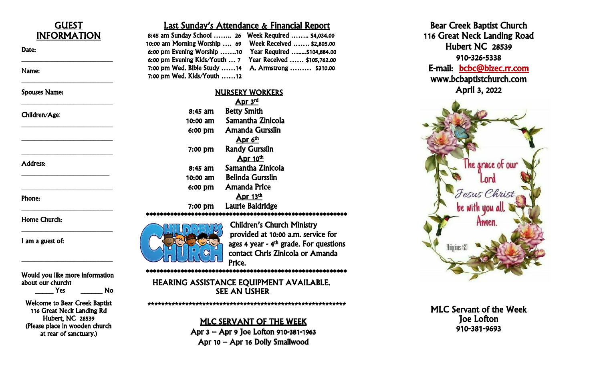

#### Phone:

I am a guest of:

Yes No

Welcome to Bear Creek Baptist 116 Great Neck Landing Rd Hubert, NC 28539 (Please place in wooden church at rear of sanctuary.)

### Last Sunday's Attendance & Financial Report

8:45 am Sunday School …….. 26 Week Required …….. \$4,034.00 10:00 am Morning Worship …. 69 Week Received …… . \$2,805.00 6:00 pm Evening Worship …….10 Year Required ….....\$104,884.00 6:00 pm Evening Kids/Youth … 7 Year Received …… \$105,762.00 7:00 pm Wed. Bible Study ……14 A. Armstrong ……… \$310.00 7:00 pm Wed. Kids/Youth ……12

| <b>NURSERY WORKERS</b>  |
|-------------------------|
| Apr 3rd                 |
| <b>Betty Smith</b>      |
| Samantha Zinicola       |
| Amanda Gursslin         |
| Apr 6 <sup>th</sup>     |
| <b>Randy Gursslin</b>   |
| Apr 10th                |
| Samantha Zinicola       |
| <b>Belinda Gursslin</b> |
| <b>Amanda Price</b>     |
| <u>Apr 13th</u>         |
| Laurie Baldridge        |
|                         |

#### \*\*\*\*\*\*\*\*\*\*\*\*\*\*\*\*\*\*\*\*\*\*\*\*\*\*\*\*\*\*\*\*\*\*\*\*\*\*\*\*\*\*\*\*\*\*\*\*\*\*\*\*\*\*\*\*\*\*

Children's Church Ministry provided at 10:00 a . m . service for ages 4 year - 4<sup>th</sup> grade. For questions contact Chris Zinicola or Amanda Price.

\*\*\*\*\*\*\*\*\*\*\*\*\*\*\*\*\*\*\*\*\*\*\*\*\*\*\*\*\*\*\*\*\*\*\*\*\*\*\*\*\*\*\*\*\*\*\*\*\*\*\*\*\*\*\*\*\*\*

SEE AN USHER HEARING ASSISTANCE EQUIPMENT AVAILABLE.

**\*\*\*\*\*\*\*\*\*\*\*\*\*\*\*\*\*\*\*\*\*\*\*\*\*\*\*\*\*\*\*\*\*\*\*\*\*\*\*\*\*\*\*\*\*\*\*\*\*\*\*\*\*\*\*\*\*\***

### MLC SERVANT OF THE WEEK Apr 3 – Apr 9 Joe Lofton 910 -381 -1963 Apr 10 – Apr 16 Dolly Smallwood





MLC Servant of the Week Joe Lofton 910 -381 -9693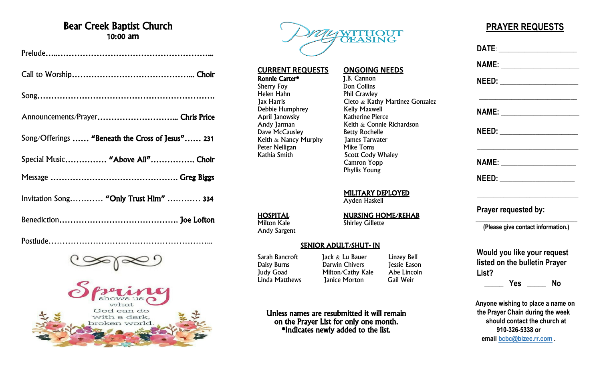## Bear Creek Baptist Church 10:00 am

| Song/Offerings  "Beneath the Cross of Jesus" 231 |
|--------------------------------------------------|
| Special Music "Above All" Choir                  |
|                                                  |
| Invitation Song "Only Trust Him"  334            |
|                                                  |

Postlude…………………………………………………...





**CURRENT REQUESTS ONGOING NEEDS**<br> **Ronnie Carter\* 1.B. Cannon** Sherry Foy Don Collins Helen Hahn Phil Crawley<br>1 ax Harris Cleto & Kath

Cleto  $\&$  Kathy Martinez Gonzalez<br>Kelly Maxwell Debbie Humphrey<br>
April Janowsky<br>
Katherine Pierce Keith  $&$  Connie Richardson<br>Betty Rochelle Dave McCausley Betty Rochelle<br>
Keith & Nancy Murphy James Tarwater Keith & Nancy Murphy James Tarw<br>Peter Nelligan Mike Toms Scott Cody Whaley Camron Yopp Phyllis Young

MILITARY DEPLOYED

Ayden Haskell

**HOSPITAL**<br>Milton Kale **NURSING HOME/REHAB**<br>Shirley Gillette **Shirley Gillette** 

#### SENIOR ADULT/SHUT- IN

Sarah Bancroft Jack & Lu Bauer Linzey Bell<br>
Daisy Burns Darwin Chivers Jessie Eason Daisy Burns Darwin Chivers Jessie Eason Judy Goad Milton/Cathy Kale Abe Lincolnum Abelement Abelement Abelement Abelement Abelement Abelement Abelemen<br>
Linda Matthews annice Morton Gail Weir **Janice Morton** 

Unless names are resubmitted it will remain on the Prayer List for only one month. \*Indicates newly added to the list.

## **PRAYER REQUESTS**

| DATE: ______________________                                          |                                                                                                                       |  |
|-----------------------------------------------------------------------|-----------------------------------------------------------------------------------------------------------------------|--|
| NAME: _________________________                                       |                                                                                                                       |  |
| NEED: _______________________                                         |                                                                                                                       |  |
| NAME: _________________________                                       | <u> 1989 - Johann John Stein, mars an deus Amerikaansk ferske omtalister (</u>                                        |  |
| <u>NEED:_____________________</u>                                     |                                                                                                                       |  |
|                                                                       |                                                                                                                       |  |
| NEED: ________________________                                        |                                                                                                                       |  |
| Prayer requested by:                                                  | <u> 1989 - Johann Barbara, martin amerikan basar dan berasal dalam basar dalam basar dalam basar dalam basar dala</u> |  |
| (Please give contact information.)                                    |                                                                                                                       |  |
| Would you like your request                                           |                                                                                                                       |  |
| listed on the bulletin Prayer                                         |                                                                                                                       |  |
| List?                                                                 |                                                                                                                       |  |
|                                                                       | ______ Yes ______ No                                                                                                  |  |
| Anyone wishing to place a name on<br>the Prayer Chain during the week |                                                                                                                       |  |
|                                                                       |                                                                                                                       |  |

 **should contact the church at 910-326-5338 or email [bcbc@bizec.rr.com](mailto:bcbc@bizec.rr.com) .**

Andy Sargent

Ronnie Carter\*<br>Sherry Foy

April Janowsky<br>Andy Jarman

Peter Nelligan<br>Kathia Smith